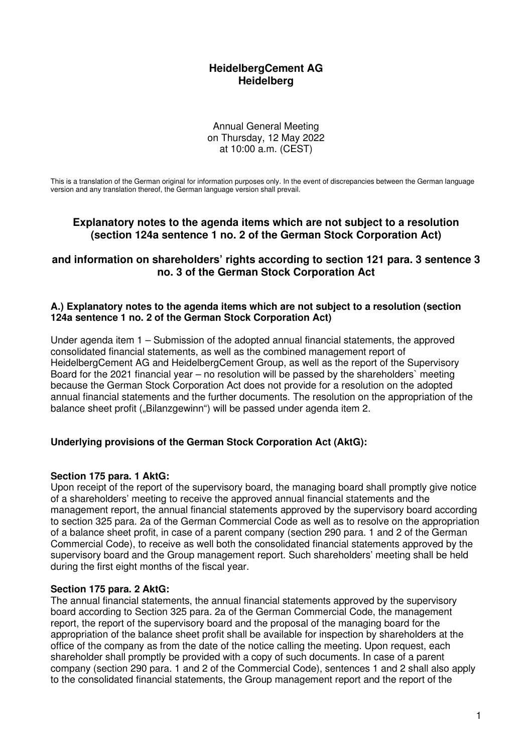# **HeidelbergCement AG Heidelberg**

Annual General Meeting on Thursday, 12 May 2022 at 10:00 a.m. (CEST)

This is a translation of the German original for information purposes only. In the event of discrepancies between the German language version and any translation thereof, the German language version shall prevail.

# **Explanatory notes to the agenda items which are not subject to a resolution (section 124a sentence 1 no. 2 of the German Stock Corporation Act)**

## **and information on shareholders' rights according to section 121 para. 3 sentence 3 no. 3 of the German Stock Corporation Act**

#### **A.) Explanatory notes to the agenda items which are not subject to a resolution (section 124a sentence 1 no. 2 of the German Stock Corporation Act)**

Under agenda item 1 – Submission of the adopted annual financial statements, the approved consolidated financial statements, as well as the combined management report of HeidelbergCement AG and HeidelbergCement Group, as well as the report of the Supervisory Board for the 2021 financial year – no resolution will be passed by the shareholders` meeting because the German Stock Corporation Act does not provide for a resolution on the adopted annual financial statements and the further documents. The resolution on the appropriation of the balance sheet profit ("Bilanzgewinn") will be passed under agenda item 2.

## **Underlying provisions of the German Stock Corporation Act (AktG):**

#### **Section 175 para. 1 AktG:**

Upon receipt of the report of the supervisory board, the managing board shall promptly give notice of a shareholders' meeting to receive the approved annual financial statements and the management report, the annual financial statements approved by the supervisory board according to section 325 para. 2a of the German Commercial Code as well as to resolve on the appropriation of a balance sheet profit, in case of a parent company (section 290 para. 1 and 2 of the German Commercial Code), to receive as well both the consolidated financial statements approved by the supervisory board and the Group management report. Such shareholders' meeting shall be held during the first eight months of the fiscal year.

#### **Section 175 para. 2 AktG:**

The annual financial statements, the annual financial statements approved by the supervisory board according to Section 325 para. 2a of the German Commercial Code, the management report, the report of the supervisory board and the proposal of the managing board for the appropriation of the balance sheet profit shall be available for inspection by shareholders at the office of the company as from the date of the notice calling the meeting. Upon request, each shareholder shall promptly be provided with a copy of such documents. In case of a parent company (section 290 para. 1 and 2 of the Commercial Code), sentences 1 and 2 shall also apply to the consolidated financial statements, the Group management report and the report of the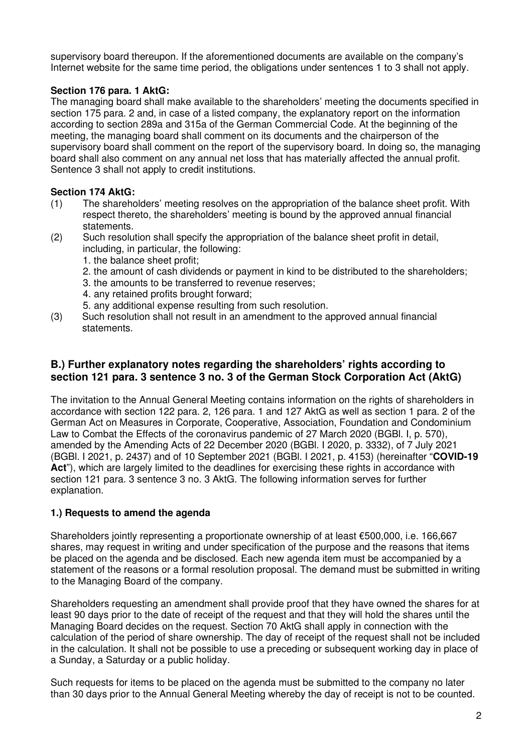supervisory board thereupon. If the aforementioned documents are available on the company's Internet website for the same time period, the obligations under sentences 1 to 3 shall not apply.

## **Section 176 para. 1 AktG:**

The managing board shall make available to the shareholders' meeting the documents specified in section 175 para. 2 and, in case of a listed company, the explanatory report on the information according to section 289a and 315a of the German Commercial Code. At the beginning of the meeting, the managing board shall comment on its documents and the chairperson of the supervisory board shall comment on the report of the supervisory board. In doing so, the managing board shall also comment on any annual net loss that has materially affected the annual profit. Sentence 3 shall not apply to credit institutions.

## **Section 174 AktG:**

- (1) The shareholders' meeting resolves on the appropriation of the balance sheet profit. With respect thereto, the shareholders' meeting is bound by the approved annual financial statements.
- (2) Such resolution shall specify the appropriation of the balance sheet profit in detail, including, in particular, the following:
	- 1. the balance sheet profit;
	- 2. the amount of cash dividends or payment in kind to be distributed to the shareholders;
	- 3. the amounts to be transferred to revenue reserves;
	- 4. any retained profits brought forward;
	- 5. any additional expense resulting from such resolution.
- (3) Such resolution shall not result in an amendment to the approved annual financial statements.

# **B.) Further explanatory notes regarding the shareholders' rights according to section 121 para. 3 sentence 3 no. 3 of the German Stock Corporation Act (AktG)**

The invitation to the Annual General Meeting contains information on the rights of shareholders in accordance with section 122 para. 2, 126 para. 1 and 127 AktG as well as section 1 para. 2 of the German Act on Measures in Corporate, Cooperative, Association, Foundation and Condominium Law to Combat the Effects of the coronavirus pandemic of 27 March 2020 (BGBl. I, p. 570), amended by the Amending Acts of 22 December 2020 (BGBl. I 2020, p. 3332), of 7 July 2021 (BGBl. I 2021, p. 2437) and of 10 September 2021 (BGBl. I 2021, p. 4153) (hereinafter "**COVID-19**  Act"), which are largely limited to the deadlines for exercising these rights in accordance with section 121 para. 3 sentence 3 no. 3 AktG. The following information serves for further explanation.

## **1.) Requests to amend the agenda**

Shareholders jointly representing a proportionate ownership of at least €500,000, i.e. 166,667 shares, may request in writing and under specification of the purpose and the reasons that items be placed on the agenda and be disclosed. Each new agenda item must be accompanied by a statement of the reasons or a formal resolution proposal. The demand must be submitted in writing to the Managing Board of the company.

Shareholders requesting an amendment shall provide proof that they have owned the shares for at least 90 days prior to the date of receipt of the request and that they will hold the shares until the Managing Board decides on the request. Section 70 AktG shall apply in connection with the calculation of the period of share ownership. The day of receipt of the request shall not be included in the calculation. It shall not be possible to use a preceding or subsequent working day in place of a Sunday, a Saturday or a public holiday.

Such requests for items to be placed on the agenda must be submitted to the company no later than 30 days prior to the Annual General Meeting whereby the day of receipt is not to be counted.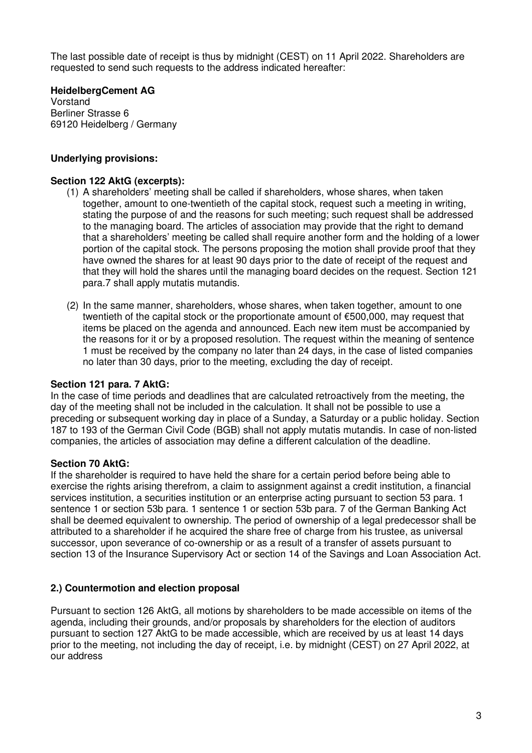The last possible date of receipt is thus by midnight (CEST) on 11 April 2022. Shareholders are requested to send such requests to the address indicated hereafter:

#### **HeidelbergCement AG**

Vorstand Berliner Strasse 6 69120 Heidelberg / Germany

## **Underlying provisions:**

#### **Section 122 AktG (excerpts):**

- (1) A shareholders' meeting shall be called if shareholders, whose shares, when taken together, amount to one-twentieth of the capital stock, request such a meeting in writing, stating the purpose of and the reasons for such meeting; such request shall be addressed to the managing board. The articles of association may provide that the right to demand that a shareholders' meeting be called shall require another form and the holding of a lower portion of the capital stock. The persons proposing the motion shall provide proof that they have owned the shares for at least 90 days prior to the date of receipt of the request and that they will hold the shares until the managing board decides on the request. Section 121 para.7 shall apply mutatis mutandis.
- (2) In the same manner, shareholders, whose shares, when taken together, amount to one twentieth of the capital stock or the proportionate amount of €500,000, may request that items be placed on the agenda and announced. Each new item must be accompanied by the reasons for it or by a proposed resolution. The request within the meaning of sentence 1 must be received by the company no later than 24 days, in the case of listed companies no later than 30 days, prior to the meeting, excluding the day of receipt.

#### **Section 121 para. 7 AktG:**

In the case of time periods and deadlines that are calculated retroactively from the meeting, the day of the meeting shall not be included in the calculation. It shall not be possible to use a preceding or subsequent working day in place of a Sunday, a Saturday or a public holiday. Section 187 to 193 of the German Civil Code (BGB) shall not apply mutatis mutandis. In case of non-listed companies, the articles of association may define a different calculation of the deadline.

#### **Section 70 AktG:**

If the shareholder is required to have held the share for a certain period before being able to exercise the rights arising therefrom, a claim to assignment against a credit institution, a financial services institution, a securities institution or an enterprise acting pursuant to section 53 para. 1 sentence 1 or section 53b para. 1 sentence 1 or section 53b para. 7 of the German Banking Act shall be deemed equivalent to ownership. The period of ownership of a legal predecessor shall be attributed to a shareholder if he acquired the share free of charge from his trustee, as universal successor, upon severance of co-ownership or as a result of a transfer of assets pursuant to section 13 of the Insurance Supervisory Act or section 14 of the Savings and Loan Association Act.

#### **2.) Countermotion and election proposal**

Pursuant to section 126 AktG, all motions by shareholders to be made accessible on items of the agenda, including their grounds, and/or proposals by shareholders for the election of auditors pursuant to section 127 AktG to be made accessible, which are received by us at least 14 days prior to the meeting, not including the day of receipt, i.e. by midnight (CEST) on 27 April 2022, at our address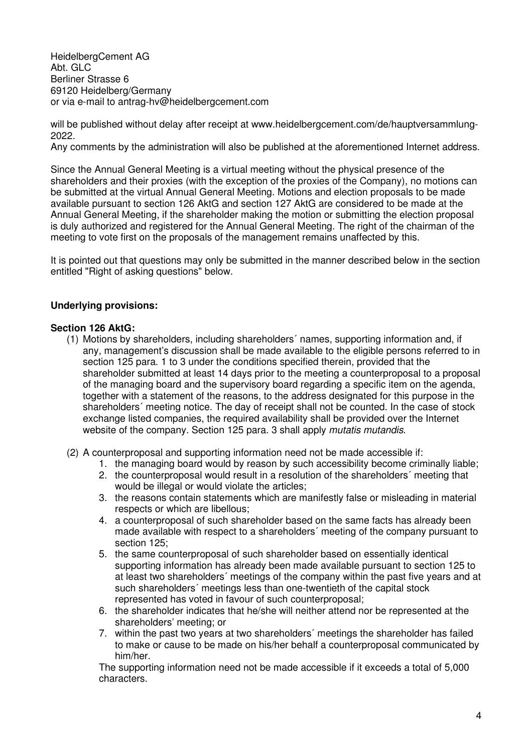HeidelbergCement AG Abt. GLC Berliner Strasse 6 69120 Heidelberg/Germany or via e-mail to antrag-hv@heidelbergcement.com

will be published without delay after receipt at www.heidelbergcement.com/de/hauptversammlung-2022.

Any comments by the administration will also be published at the aforementioned Internet address.

Since the Annual General Meeting is a virtual meeting without the physical presence of the shareholders and their proxies (with the exception of the proxies of the Company), no motions can be submitted at the virtual Annual General Meeting. Motions and election proposals to be made available pursuant to section 126 AktG and section 127 AktG are considered to be made at the Annual General Meeting, if the shareholder making the motion or submitting the election proposal is duly authorized and registered for the Annual General Meeting. The right of the chairman of the meeting to vote first on the proposals of the management remains unaffected by this.

It is pointed out that questions may only be submitted in the manner described below in the section entitled "Right of asking questions" below.

## **Underlying provisions:**

## **Section 126 AktG:**

- (1) Motions by shareholders, including shareholders´ names, supporting information and, if any, management's discussion shall be made available to the eligible persons referred to in section 125 para. 1 to 3 under the conditions specified therein, provided that the shareholder submitted at least 14 days prior to the meeting a counterproposal to a proposal of the managing board and the supervisory board regarding a specific item on the agenda, together with a statement of the reasons, to the address designated for this purpose in the shareholders´ meeting notice. The day of receipt shall not be counted. In the case of stock exchange listed companies, the required availability shall be provided over the Internet website of the company. Section 125 para. 3 shall apply *mutatis mutandis*.
- (2) A counterproposal and supporting information need not be made accessible if:
	- 1. the managing board would by reason by such accessibility become criminally liable;
	- 2. the counterproposal would result in a resolution of the shareholders´ meeting that would be illegal or would violate the articles:
	- 3. the reasons contain statements which are manifestly false or misleading in material respects or which are libellous;
	- 4. a counterproposal of such shareholder based on the same facts has already been made available with respect to a shareholders´ meeting of the company pursuant to section 125;
	- 5. the same counterproposal of such shareholder based on essentially identical supporting information has already been made available pursuant to section 125 to at least two shareholders´ meetings of the company within the past five years and at such shareholders´ meetings less than one-twentieth of the capital stock represented has voted in favour of such counterproposal;
	- 6. the shareholder indicates that he/she will neither attend nor be represented at the shareholders' meeting; or
	- 7. within the past two years at two shareholders´ meetings the shareholder has failed to make or cause to be made on his/her behalf a counterproposal communicated by him/her.

The supporting information need not be made accessible if it exceeds a total of 5,000 characters.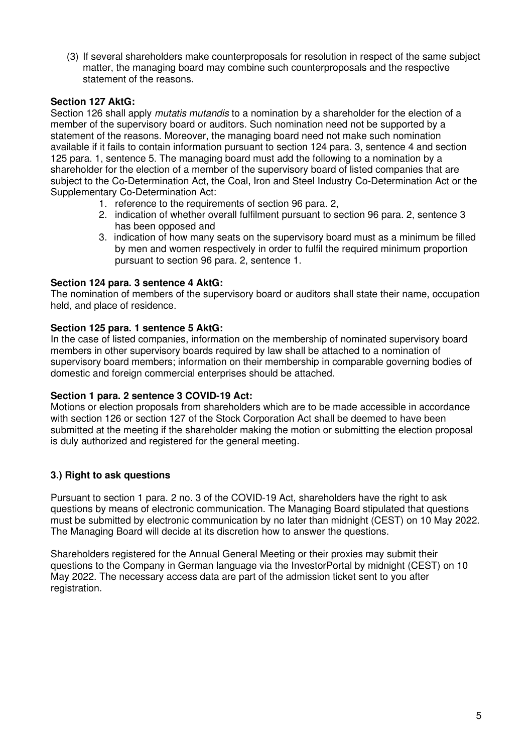(3) If several shareholders make counterproposals for resolution in respect of the same subject matter, the managing board may combine such counterproposals and the respective statement of the reasons.

## **Section 127 AktG:**

Section 126 shall apply *mutatis mutandis* to a nomination by a shareholder for the election of a member of the supervisory board or auditors. Such nomination need not be supported by a statement of the reasons. Moreover, the managing board need not make such nomination available if it fails to contain information pursuant to section 124 para. 3, sentence 4 and section 125 para. 1, sentence 5. The managing board must add the following to a nomination by a shareholder for the election of a member of the supervisory board of listed companies that are subject to the Co-Determination Act, the Coal, Iron and Steel Industry Co-Determination Act or the Supplementary Co-Determination Act:

- 1. reference to the requirements of section 96 para. 2,
- 2. indication of whether overall fulfilment pursuant to section 96 para. 2, sentence 3 has been opposed and
- 3. indication of how many seats on the supervisory board must as a minimum be filled by men and women respectively in order to fulfil the required minimum proportion pursuant to section 96 para. 2, sentence 1.

#### **Section 124 para. 3 sentence 4 AktG:**

The nomination of members of the supervisory board or auditors shall state their name, occupation held, and place of residence.

#### **Section 125 para. 1 sentence 5 AktG:**

In the case of listed companies, information on the membership of nominated supervisory board members in other supervisory boards required by law shall be attached to a nomination of supervisory board members; information on their membership in comparable governing bodies of domestic and foreign commercial enterprises should be attached.

#### **Section 1 para. 2 sentence 3 COVID-19 Act:**

Motions or election proposals from shareholders which are to be made accessible in accordance with section 126 or section 127 of the Stock Corporation Act shall be deemed to have been submitted at the meeting if the shareholder making the motion or submitting the election proposal is duly authorized and registered for the general meeting.

#### **3.) Right to ask questions**

Pursuant to section 1 para. 2 no. 3 of the COVID-19 Act, shareholders have the right to ask questions by means of electronic communication. The Managing Board stipulated that questions must be submitted by electronic communication by no later than midnight (CEST) on 10 May 2022. The Managing Board will decide at its discretion how to answer the questions.

Shareholders registered for the Annual General Meeting or their proxies may submit their questions to the Company in German language via the InvestorPortal by midnight (CEST) on 10 May 2022. The necessary access data are part of the admission ticket sent to you after registration.